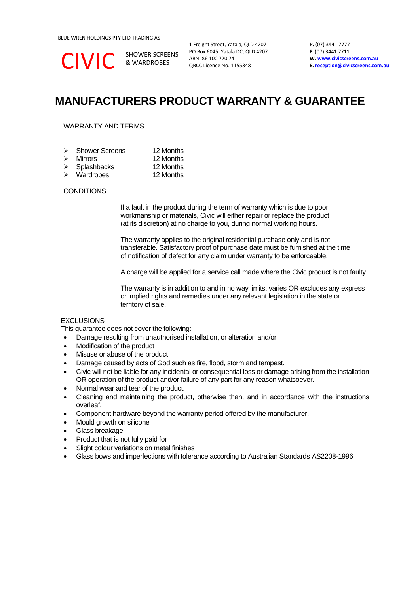CIVIC SHOWER SCREENS

& WARDROBES

1 Freight Street, Yatala, QLD 4207 PO Box 6045, Yatala DC, QLD 4207 ABN: 86 100 720 741 QBCC Licence No. 1155348

**P.** (07) 3441 7777 **F.** (07) 3441 7711 **W[. www.civicscreens.com.au](http://www.civicscreens.com.au/) E. [reception@civicscreens.com.au](mailto:reception@civicscreens.com.au)**

## **MANUFACTURERS PRODUCT WARRANTY & GUARANTEE**

## WARRANTY AND TERMS

| $\triangleright$ Shower Screens | 12 Months |
|---------------------------------|-----------|
| $\triangleright$ Mirrors        | 12 Months |
| $\triangleright$ Splashbacks    | 12 Months |

➢ Wardrobes 12 Months

### **CONDITIONS**

If a fault in the product during the term of warranty which is due to poor workmanship or materials, Civic will either repair or replace the product (at its discretion) at no charge to you, during normal working hours.

The warranty applies to the original residential purchase only and is not transferable. Satisfactory proof of purchase date must be furnished at the time of notification of defect for any claim under warranty to be enforceable.

A charge will be applied for a service call made where the Civic product is not faulty.

The warranty is in addition to and in no way limits, varies OR excludes any express or implied rights and remedies under any relevant legislation in the state or territory of sale.

## **EXCLUSIONS**

This guarantee does not cover the following:

- Damage resulting from unauthorised installation, or alteration and/or
- Modification of the product
- Misuse or abuse of the product
- Damage caused by acts of God such as fire, flood, storm and tempest.
- Civic will not be liable for any incidental or consequential loss or damage arising from the installation OR operation of the product and/or failure of any part for any reason whatsoever.
- Normal wear and tear of the product.
- Cleaning and maintaining the product, otherwise than, and in accordance with the instructions overleaf.
- Component hardware beyond the warranty period offered by the manufacturer.
- Mould growth on silicone
- Glass breakage
- Product that is not fully paid for
- Slight colour variations on metal finishes
- Glass bows and imperfections with tolerance according to Australian Standards AS2208-1996